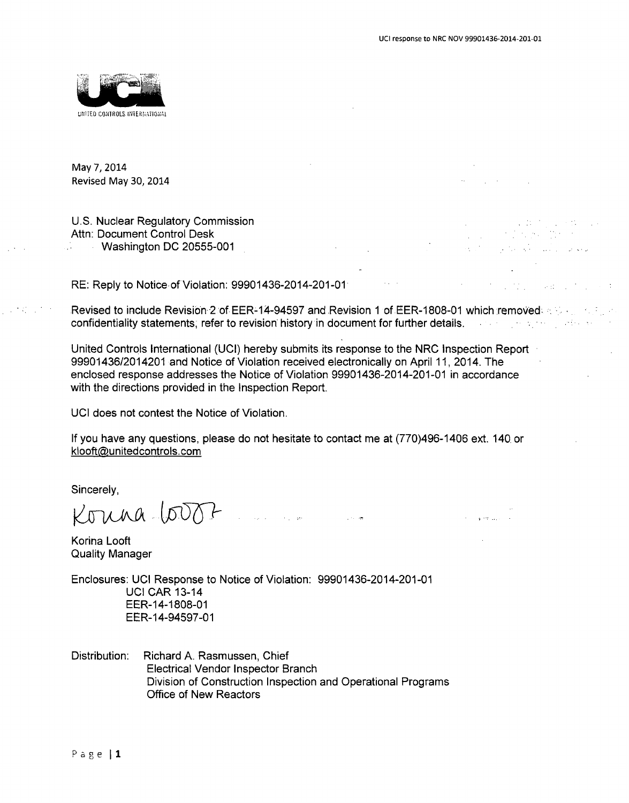$\hat{\mathcal{L}}_{\text{max}}(\hat{\mathcal{L}}_{\text{max}})$  , we can consider



May 7, 2014 Revised May 30, 2014

U.S. Nuclear Regulatory Commission Attn: Document Control Desk Washington DC 20555-001

RE: Reply to Notice.of Violation: 99901436-2014-201-01

Revised to include Revision.2 of EER-14-94597 and Revision 1 of EER-1808-01 which removed.., confidentiality statements, refer to revision history in document for further details.

United Controls International (UCI) hereby submits its response to the NRC Inspection Report 99901436/2014201 and Notice of Violation received electronically on April 11, 2014. The enclosed response addresses the Notice of Violation 99901436-2014-201-01 in accordance with the directions provided in the Inspection Report.

UCI does not contest the Notice of Violation.

If you have any questions, please do not hesitate to contact me at (770)496-1406 ext. 140. or klooft@unitedcontrols.com

Sincerely,

Konna 6007 Para

Korina Looft Quality Manager

Enclosures: UCI Response to Notice of Violation: 99901436-2014-201-01 UCI CAR 13-14 EER-14-1808-01 EER-14-94597-01

Distribution: Richard A. Rasmussen, Chief Electrical Vendor Inspector Branch Division of Construction Inspection and Operational Programs Office of New Reactors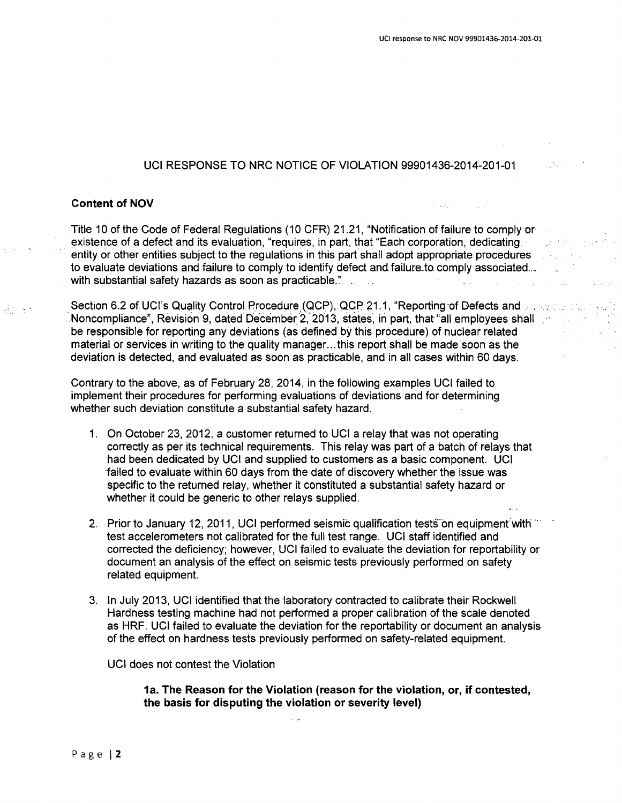Digital Control

### UCI RESPONSE TO NRC NOTICE OF VIOLATION 99901436-2014-201-01

### Content of **NOV**

**SEA** 

Title 10 of the Code of Federal Regulations (10 CFR) 21.21, "Notification of failure to comply or existence of a defect and its evaluation, "requires, in part, that "Each corporation, dedicating. entity or other entities subject to the regulations in this part shall adopt appropriate procedures to evaluate deviations and failure to comply to identify defect and failure to comply associated... with substantial safety hazards as soon as practicable." **Contract**  $\mathcal{L}_{\text{max}}$  and  $\mathcal{L}_{\text{max}}$  and  $\mathcal{L}_{\text{max}}$  and  $\mathcal{L}_{\text{max}}$ 

Section 6.2 of UCI's Quality Control: Procedure (QCP), QCP 21.1, "Reporting of Defects and Section 100 Noncompliance", Revision **9,** dated December 2, 2013, states, in part, that "all employees shall be responsible for reporting any deviations (as defined by this procedure) of nuclear related material or services in writing to the quality manager... this report shall be made soon as the deviation is detected, and evaluated as soon as practicable, and in all cases within 60 days.

Contrary to the above, as of February 28, 2014, in the following examples UCI failed to implement their procedures for performing evaluations of deviations and for determining whether such deviation constitute a substantial safety hazard.

- 1. On October 23, 2012, a customer returned to UCI a relay that was not operating correctly as per its technical requirements. This relay was part of a batch of relays that had been dedicated by UCI and supplied to customers as a basic component. UCI failed to evaluate within 60 days from the date of discovery whether the issue was specific to the returned relay, whether it constituted a substantial safety hazard or whether it could be generic to other relays supplied.
- 2. Prior to January 12, 2011, UCI performed seismic qualification tests on equipment with test accelerometers not calibrated for the full test range. UCI staff identified and corrected the deficiency; however, UCI failed to evaluate the deviation for reportability or document an analysis of the effect on seismic tests previously performed on safety related equipment.
- 3. In July 2013, UCI identified that the laboratory contracted to calibrate their Rockwell Hardness testing machine had not performed a proper calibration of the scale denoted as HRF. UCI failed to evaluate the deviation for the reportability or document an analysis of the effect on hardness tests previously performed on safety-related equipment.

 $\sim$   $\sim$ 

UCI does not contest the Violation

1a. The Reason for the Violation (reason for the violation, or, if contested, the basis for disputing the violation or severity level)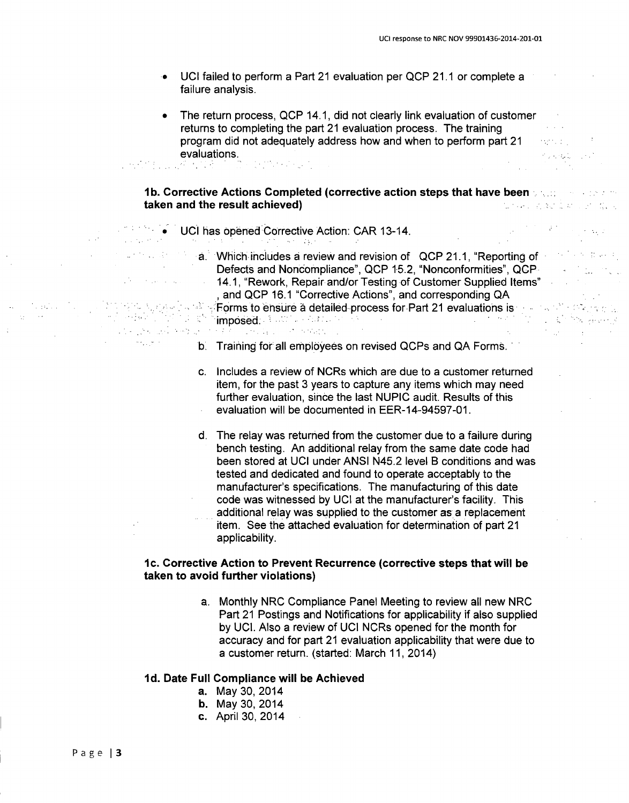放牧の人 Polencia (

 $\label{eq:1} \mathcal{L}^{\mathcal{N}} \times \mathcal{D}^{\mathcal{N}} \times \mathcal{D}^{\mathcal{N}} \times \mathcal{D}^{\mathcal{N}}.$ 

 $\mathcal{L}^{(1)}$  and  $\mathcal{L}^{(2)}$  and  $\mathcal{L}^{(3)}$ 

- UCI failed to perform a Part 21 evaluation per QCP 21.1 or complete a failure analysis.
- The return process, QCP 14.1, did not clearly link evaluation of customer returns to completing the part 21 evaluation process. The training program did not adequately address how and when to perform part 21 evaluations.

### *lb.* Corrective Actions Completed (corrective action steps that have been taken and the result achieved) une avitator di

### **UCI has opened Corrective Action: CAR 13-14.**

a. Which includes a review and revision of QCP 21.1, "Reporting of Defects and Noncompliance", QCP 15.2, "Nonconformities", QCP 14.1, "Rework, Repair and/or Testing of Customer Supplied Items" and QCP 16.1 "Corrective Actions", and corresponding QA **Forms to ensure a detailed process for Part 21 evaluations is the state of the state of the state of the state of the state of the state of the state of the state of the state of the state of the state of the state of the** imposed. The first state of the state of the state of the state of the state of the state of the state of the<br>International control of the state of the state of the state of the state of the state of the state of the state  $\frac{1}{2} \sum_{i=1}^n \frac{1}{2} \sum_{j=1}^n \frac{1}{2} \sum_{j=1}^n \frac{1}{2} \sum_{j=1}^n \frac{1}{2} \sum_{j=1}^n \frac{1}{2} \sum_{j=1}^n \frac{1}{2} \sum_{j=1}^n \frac{1}{2} \sum_{j=1}^n \frac{1}{2} \sum_{j=1}^n \frac{1}{2} \sum_{j=1}^n \frac{1}{2} \sum_{j=1}^n \frac{1}{2} \sum_{j=1}^n \frac{1}{2} \sum_{j=1}^n \frac{1}{2} \sum_{j=$  $\sim 10^{11}$  ,  $\sim 10^{11}$  ,  $\sim 10^{11}$ 

### **b.** Training for all employees on revised QCPs and QA Forms.

- c. Includes a review of NCRs which are due to a customer returned item, for the past 3 years to capture any items which may need further evaluation, since the last NUPIC audit. Results of this evaluation will be documented in EER-14-94597-01.
- d. The relay was returned from the customer due to a failure during bench testing. An additional relay from the same date code had been stored at UCI under ANSI N45.2 level B conditions and was tested and dedicated and found to operate acceptably to the manufacturer's specifications. The manufacturing of this date code was witnessed by UCI at the manufacturer's facility. This additional relay was supplied to the customer as a replacement item. See the attached evaluation for determination of part 21 applicability.

### **I** c. Corrective Action to Prevent Recurrence (corrective steps that will be taken to avoid further violations)

a. Monthly NRC Compliance Panel Meeting to review all new NRC Part 21 Postings and Notifications for applicability if also supplied by UCI. Also a review of UCI NCRs opened for the month for accuracy and for part 21 evaluation applicability that were due to a customer return. (started: March 11, 2014)

### **Id.** Date Full Compliance will be Achieved

- a. May 30, 2014
- b. May **30,** 2014
- c. April 30, 2014

 $\mathcal{A}(\mathbf{z})$  , where  $\mathcal{A}(\mathbf{z})$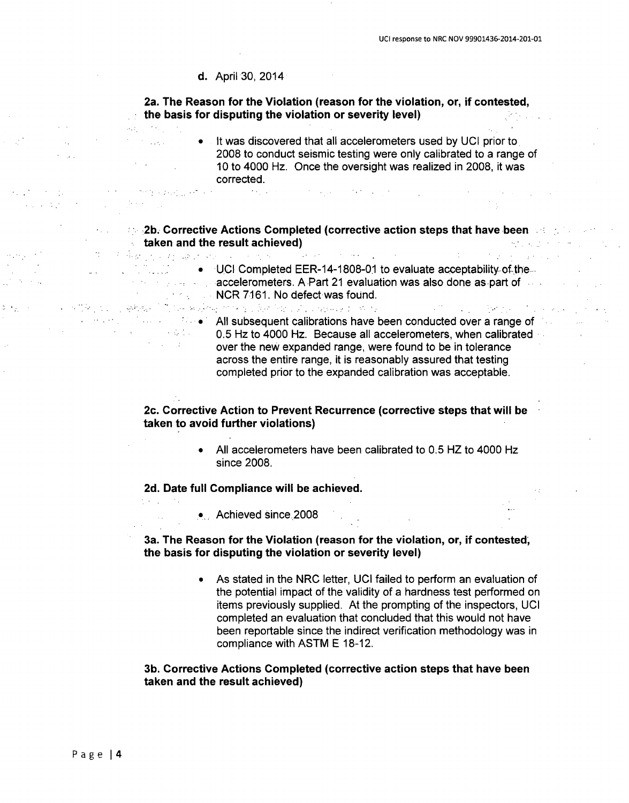### d. April 30, 2014

 $\sim 0.4$  and  $\sim 0.01$ 

 $\label{eq:2.1} \mu_{\rm eff} = 1.5 \, \mu_{\rm eff} = 0.1$  $\mathcal{F}^{\text{in}}_{\text{in}}$  , and the set of  $\mathcal{F}^{\text{in}}_{\text{out}}$ 

with a probability of  $\mathcal{O}(1)$ 

2a. The Reason for the Violation (reason for the violation, or, if contested, the basis for disputing the violation or severity level) 1999년 - 대한민국의 대한민국의 대한민국의 대한민국의 대한민국의 대한민국의 대한민국의 대한민국의 대한민국의 대한민국의 대한민국의 대한민국의 대한민국의 대한민국의 대한민국의 대한민국의 대한민국의 <br>대한민국의 대한민국의 대한민국의 대한민국의 대한민국의 대한민국의 대한민국의 대한민국의 대한민국의 대한민국의 대한민국의 대한민국의 대한민국의 대한민국의 대한민국의 대한민국의 대한민국의 대한민국의 대한

> $\bullet$  It was discovered that all accelerometers used by UCI prior to 2008 to conduct seismic testing were only calibrated to a range of 10 to 4000 Hz. Once the oversight was realized in 2008, it was corrected.

> > $\mathcal{L}^{\mathcal{L}}(\mathcal{L}^{\mathcal{L}})$  and the following the contribution of  $\mathcal{L}^{\mathcal{L}}$

## **2b. Corrective Actions Completed (corrective action steps that have been section of the steps of the steps of th** taken and the result achieved)

中国国家联合会 磁路化 经一个优化的 **EXECUTE:** ONCIDE Completed EER-14-1808-01 to evaluate acceptability-of.the... accelerometers. A Part 21 evaluation was also done as part of the state of the state of the state of the state of the state of the state of the state of the state of the state of the state of the state of the state of the **NCR 7161. No defect was found.** 

. All subsequent calibrations have been conducted over a range of<br>All subsequent calibrations have been conducted over a range of<br>All subsequent calibrations have been conducted over a range of<br>All subsequent calibrations 0.5 Hz to 4000 Hz. Because all accelerometers, when calibrated over the new expanded range, were found to be in tolerance across the entire range, it is reasonably assured that testing completed prior to the expanded calibration was acceptable.

### 2c. Corrective Action to Prevent Recurrence (corrective steps that will be taken to avoid further violations)

\* All accelerometers have been calibrated to 0.5 HZ to 4000 Hz since 2008.

### **2d.** Date full Compliance will be achieved.

.. Achieved since 2008

### 3a. The Reason for the Violation (reason for the violation, or, if contested, the basis for disputing the violation or severity level)

As stated in the NRC letter, UCI failed to perform an evaluation of the potential impact of the validity of a hardness test performed on items previously supplied. At the prompting of the inspectors, UCI completed an evaluation that concluded that this would not have been reportable since the indirect verification methodology was in compliance with ASTM E 18-12.

### **3b.** Corrective Actions Completed (corrective action steps that have been taken and the result achieved)